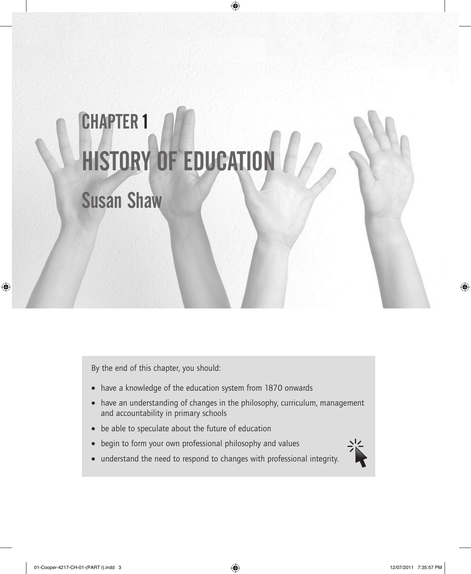

By the end of this chapter, you should:

- have a knowledge of the education system from 1870 onwards
- have an understanding of changes in the philosophy, curriculum, management and accountability in primary schools
- be able to speculate about the future of education
- begin to form your own professional philosophy and values
- understand the need to respond to changes with professional integrity.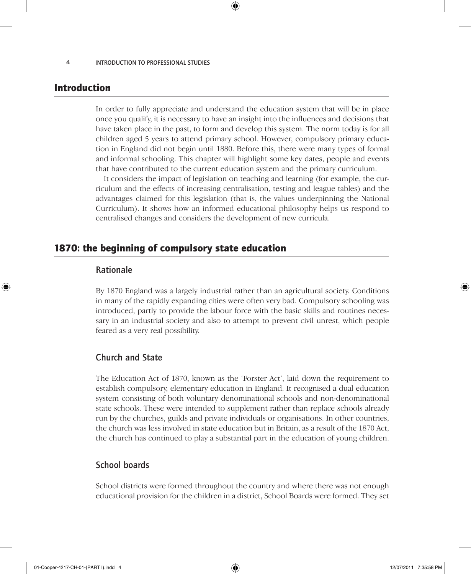## Introduction

In order to fully appreciate and understand the education system that will be in place once you qualify, it is necessary to have an insight into the influences and decisions that have taken place in the past, to form and develop this system. The norm today is for all children aged 5 years to attend primary school. However, compulsory primary education in England did not begin until 1880. Before this, there were many types of formal and informal schooling. This chapter will highlight some key dates, people and events that have contributed to the current education system and the primary curriculum.

⊕

It considers the impact of legislation on teaching and learning (for example, the curriculum and the effects of increasing centralisation, testing and league tables) and the advantages claimed for this legislation (that is, the values underpinning the National Curriculum). It shows how an informed educational philosophy helps us respond to centralised changes and considers the development of new curricula.

## 1870: the beginning of compulsory state education

#### Rationale

⊕

By 1870 England was a largely industrial rather than an agricultural society. Conditions in many of the rapidly expanding cities were often very bad. Compulsory schooling was introduced, partly to provide the labour force with the basic skills and routines necessary in an industrial society and also to attempt to prevent civil unrest, which people feared as a very real possibility.

#### Church and State

The Education Act of 1870, known as the 'Forster Act', laid down the requirement to establish compulsory, elementary education in England. It recognised a dual education system consisting of both voluntary denominational schools and non-denominational state schools. These were intended to supplement rather than replace schools already run by the churches, guilds and private individuals or organisations. In other countries, the church was less involved in state education but in Britain, as a result of the 1870 Act, the church has continued to play a substantial part in the education of young children.

#### School boards

School districts were formed throughout the country and where there was not enough educational provision for the children in a district, School Boards were formed. They set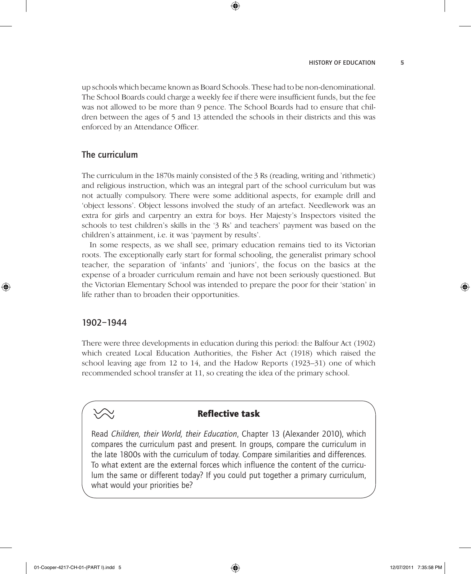up schools which became known as Board Schools. These had to be non-denominational. The School Boards could charge a weekly fee if there were insufficient funds, but the fee was not allowed to be more than 9 pence. The School Boards had to ensure that children between the ages of 5 and 13 attended the schools in their districts and this was enforced by an Attendance Officer.

⊕

#### The curriculum

The curriculum in the 1870s mainly consisted of the 3 Rs (reading, writing and 'rithmetic) and religious instruction, which was an integral part of the school curriculum but was not actually compulsory. There were some additional aspects, for example drill and 'object lessons'. Object lessons involved the study of an artefact. Needlework was an extra for girls and carpentry an extra for boys. Her Majesty's Inspectors visited the schools to test children's skills in the '3 Rs' and teachers' payment was based on the children's attainment, i.e. it was 'payment by results'.

In some respects, as we shall see, primary education remains tied to its Victorian roots. The exceptionally early start for formal schooling, the generalist primary school teacher, the separation of 'infants' and 'juniors', the focus on the basics at the expense of a broader curriculum remain and have not been seriously questioned. But the Victorian Elementary School was intended to prepare the poor for their 'station' in life rather than to broaden their opportunities.

#### 1902–1944

♠

There were three developments in education during this period: the Balfour Act (1902) which created Local Education Authorities, the Fisher Act (1918) which raised the school leaving age from 12 to 14, and the Hadow Reports (1923–31) one of which recommended school transfer at 11, so creating the idea of the primary school.

#### Reflective task

Read *Children, their World, their Education*, Chapter 13 (Alexander 2010), which compares the curriculum past and present. In groups, compare the curriculum in the late 1800s with the curriculum of today. Compare similarities and differences. To what extent are the external forces which influence the content of the curriculum the same or different today? If you could put together a primary curriculum, what would your priorities be?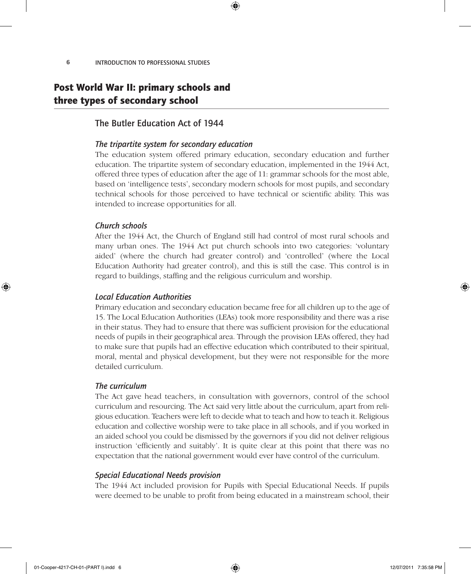# Post World War II: primary schools and three types of secondary school

## The Butler Education Act of 1944

#### *The tripartite system for secondary education*

The education system offered primary education, secondary education and further education. The tripartite system of secondary education, implemented in the 1944 Act, offered three types of education after the age of 11: grammar schools for the most able, based on 'intelligence tests', secondary modern schools for most pupils, and secondary technical schools for those perceived to have technical or scientific ability. This was intended to increase opportunities for all.

⊕

#### *Church schools*

♠

After the 1944 Act, the Church of England still had control of most rural schools and many urban ones. The 1944 Act put church schools into two categories: 'voluntary aided' (where the church had greater control) and 'controlled' (where the Local Education Authority had greater control), and this is still the case. This control is in regard to buildings, staffing and the religious curriculum and worship.

#### *Local Education Authorities*

Primary education and secondary education became free for all children up to the age of 15. The Local Education Authorities (LEAs) took more responsibility and there was a rise in their status. They had to ensure that there was sufficient provision for the educational needs of pupils in their geographical area. Through the provision LEAs offered, they had to make sure that pupils had an effective education which contributed to their spiritual, moral, mental and physical development, but they were not responsible for the more detailed curriculum.

#### *The curriculum*

The Act gave head teachers, in consultation with governors, control of the school curriculum and resourcing. The Act said very little about the curriculum, apart from religious education. Teachers were left to decide what to teach and how to teach it. Religious education and collective worship were to take place in all schools, and if you worked in an aided school you could be dismissed by the governors if you did not deliver religious instruction 'efficiently and suitably'. It is quite clear at this point that there was no expectation that the national government would ever have control of the curriculum.

#### *Special Educational Needs provision*

The 1944 Act included provision for Pupils with Special Educational Needs. If pupils were deemed to be unable to profit from being educated in a mainstream school, their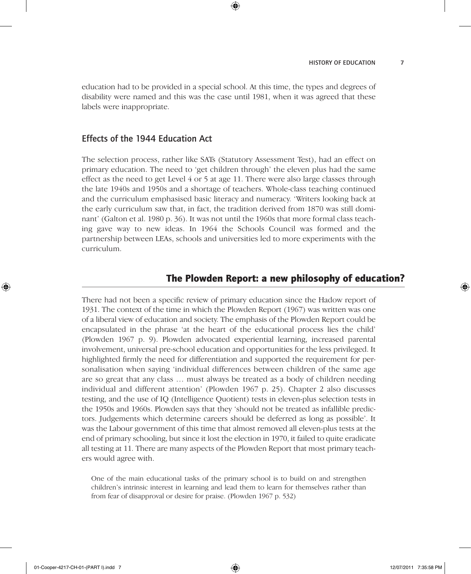education had to be provided in a special school. At this time, the types and degrees of disability were named and this was the case until 1981, when it was agreed that these labels were inappropriate.

⊕

#### Effects of the 1944 Education Act

The selection process, rather like SATs (Statutory Assessment Test), had an effect on primary education. The need to 'get children through' the eleven plus had the same effect as the need to get Level 4 or 5 at age 11. There were also large classes through the late 1940s and 1950s and a shortage of teachers. Whole-class teaching continued and the curriculum emphasised basic literacy and numeracy. 'Writers looking back at the early curriculum saw that, in fact, the tradition derived from 1870 was still dominant' (Galton et al. 1980 p. 36). It was not until the 1960s that more formal class teaching gave way to new ideas. In 1964 the Schools Council was formed and the partnership between LEAs, schools and universities led to more experiments with the curriculum.

#### The Plowden Report: a new philosophy of education?

There had not been a specific review of primary education since the Hadow report of 1931. The context of the time in which the Plowden Report (1967) was written was one of a liberal view of education and society. The emphasis of the Plowden Report could be encapsulated in the phrase 'at the heart of the educational process lies the child' (Plowden 1967 p. 9). Plowden advocated experiential learning, increased parental involvement, universal pre-school education and opportunities for the less privileged. It highlighted firmly the need for differentiation and supported the requirement for personalisation when saying 'individual differences between children of the same age are so great that any class … must always be treated as a body of children needing individual and different attention' (Plowden 1967 p. 25). Chapter 2 also discusses testing, and the use of IQ (Intelligence Quotient) tests in eleven-plus selection tests in the 1950s and 1960s. Plowden says that they 'should not be treated as infallible predictors. Judgements which determine careers should be deferred as long as possible'. It was the Labour government of this time that almost removed all eleven-plus tests at the end of primary schooling, but since it lost the election in 1970, it failed to quite eradicate all testing at 11. There are many aspects of the Plowden Report that most primary teachers would agree with.

One of the main educational tasks of the primary school is to build on and strengthen children's intrinsic interest in learning and lead them to learn for themselves rather than from fear of disapproval or desire for praise. (Plowden 1967 p. 532)

♠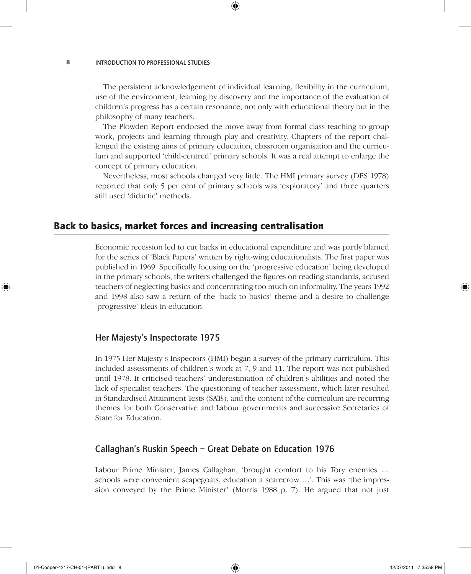The persistent acknowledgement of individual learning, flexibility in the curriculum, use of the environment, learning by discovery and the importance of the evaluation of children's progress has a certain resonance, not only with educational theory but in the philosophy of many teachers.

⊕

The Plowden Report endorsed the move away from formal class teaching to group work, projects and learning through play and creativity. Chapters of the report challenged the existing aims of primary education, classroom organisation and the curriculum and supported 'child-centred' primary schools. It was a real attempt to enlarge the concept of primary education.

Nevertheless, most schools changed very little. The HMI primary survey (DES 1978) reported that only 5 per cent of primary schools was 'exploratory' and three quarters still used 'didactic' methods.

### Back to basics, market forces and increasing centralisation

Economic recession led to cut backs in educational expenditure and was partly blamed for the series of 'Black Papers' written by right-wing educationalists. The first paper was published in 1969. Specifically focusing on the 'progressive education' being developed in the primary schools, the writers challenged the figures on reading standards, accused teachers of neglecting basics and concentrating too much on informality. The years 1992 and 1998 also saw a return of the 'back to basics' theme and a desire to challenge 'progressive' ideas in education.

#### Her Majesty's Inspectorate 1975

In 1975 Her Majesty's Inspectors (HMI) began a survey of the primary curriculum. This included assessments of children's work at 7, 9 and 11. The report was not published until 1978. It criticised teachers' underestimation of children's abilities and noted the lack of specialist teachers. The questioning of teacher assessment, which later resulted in Standardised Attainment Tests (SATs), and the content of the curriculum are recurring themes for both Conservative and Labour governments and successive Secretaries of State for Education.

#### Callaghan's Ruskin Speech – Great Debate on Education 1976

Labour Prime Minister, James Callaghan, 'brought comfort to his Tory enemies … schools were convenient scapegoats, education a scarecrow …'. This was 'the impression conveyed by the Prime Minister' (Morris 1988 p. 7). He argued that not just

01-Cooper-4217-CH-01-(PART I).indd 8 12/07/2011 7:35:58 PM

♠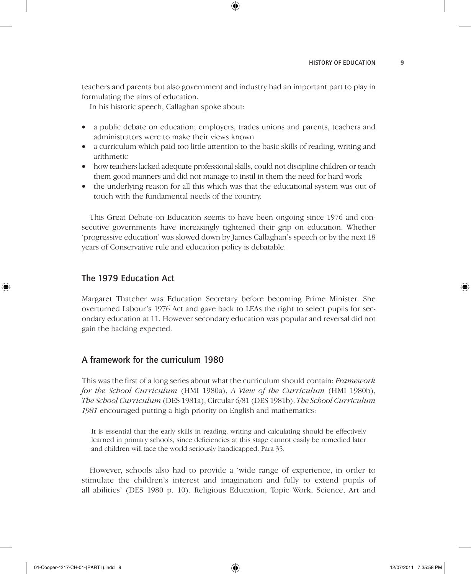teachers and parents but also government and industry had an important part to play in formulating the aims of education.

In his historic speech, Callaghan spoke about:

- a public debate on education; employers, trades unions and parents, teachers and administrators were to make their views known
- a curriculum which paid too little attention to the basic skills of reading, writing and arithmetic
- how teachers lacked adequate professional skills, could not discipline children or teach them good manners and did not manage to instil in them the need for hard work
- the underlying reason for all this which was that the educational system was out of touch with the fundamental needs of the country.

This Great Debate on Education seems to have been ongoing since 1976 and consecutive governments have increasingly tightened their grip on education. Whether 'progressive education' was slowed down by James Callaghan's speech or by the next 18 years of Conservative rule and education policy is debatable.

#### The 1979 Education Act

♠

Margaret Thatcher was Education Secretary before becoming Prime Minister. She overturned Labour's 1976 Act and gave back to LEAs the right to select pupils for secondary education at 11. However secondary education was popular and reversal did not gain the backing expected.

#### A framework for the curriculum 1980

This was the first of a long series about what the curriculum should contain: *Framework for the School Curriculum* (HMI 1980a), *A View of the Curriculum* (HMI 1980b), *The School Curriculum* (DES 1981a), Circular 6/81 (DES 1981b). *The School Curriculum 1981* encouraged putting a high priority on English and mathematics:

It is essential that the early skills in reading, writing and calculating should be effectively learned in primary schools, since deficiencies at this stage cannot easily be remedied later and children will face the world seriously handicapped. Para 35.

However, schools also had to provide a 'wide range of experience, in order to stimulate the children's interest and imagination and fully to extend pupils of all abilities' (DES 1980 p. 10). Religious Education, Topic Work, Science, Art and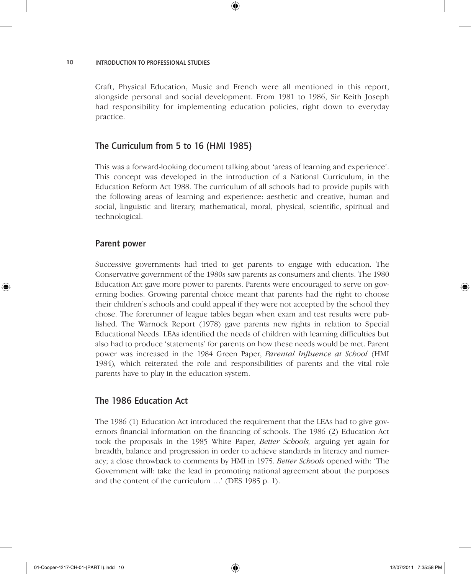Craft, Physical Education, Music and French were all mentioned in this report, alongside personal and social development. From 1981 to 1986, Sir Keith Joseph had responsibility for implementing education policies, right down to everyday practice.

⊕

#### The Curriculum from 5 to 16 (HMI 1985)

This was a forward-looking document talking about 'areas of learning and experience'. This concept was developed in the introduction of a National Curriculum, in the Education Reform Act 1988. The curriculum of all schools had to provide pupils with the following areas of learning and experience: aesthetic and creative, human and social, linguistic and literary, mathematical, moral, physical, scientific, spiritual and technological.

#### Parent power

♠

Successive governments had tried to get parents to engage with education. The Conservative government of the 1980s saw parents as consumers and clients. The 1980 Education Act gave more power to parents. Parents were encouraged to serve on governing bodies. Growing parental choice meant that parents had the right to choose their children's schools and could appeal if they were not accepted by the school they chose. The forerunner of league tables began when exam and test results were published. The Warnock Report (1978) gave parents new rights in relation to Special Educational Needs. LEAs identified the needs of children with learning difficulties but also had to produce 'statements' for parents on how these needs would be met. Parent power was increased in the 1984 Green Paper, *Parental Influence at School* (HMI 1984)*,* which reiterated the role and responsibilities of parents and the vital role parents have to play in the education system.

## The 1986 Education Act

The 1986 (1) Education Act introduced the requirement that the LEAs had to give governors financial information on the financing of schools. The 1986 (2) Education Act took the proposals in the 1985 White Paper, *Better Schools,* arguing yet again for breadth, balance and progression in order to achieve standards in literacy and numeracy; a close throwback to comments by HMI in 1975. *Better Schools* opened with: 'The Government will: take the lead in promoting national agreement about the purposes and the content of the curriculum …' (DES 1985 p. 1).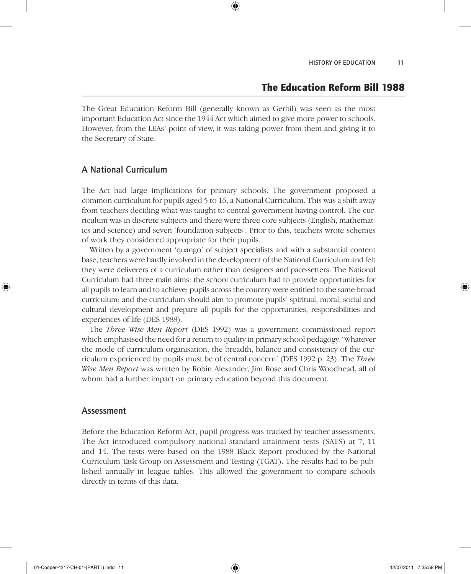## The Education Reform Bill 1988

The Great Education Reform Bill (generally known as Gerbil) was seen as the most important Education Act since the 1944 Act which aimed to give more power to schools. However, from the LEAs' point of view, it was taking power from them and giving it to the Secretary of State.

⊕

#### A National Curriculum

The Act had large implications for primary schools. The government proposed a common curriculum for pupils aged 5 to 16, a National Curriculum. This was a shift away from teachers deciding what was taught to central government having control. The curriculum was in discrete subjects and there were three core subjects (English, mathematics and science) and seven 'foundation subjects'. Prior to this, teachers wrote schemes of work they considered appropriate for their pupils.

Written by a government 'quango' of subject specialists and with a substantial content base, teachers were hardly involved in the development of the National Curriculum and felt they were deliverers of a curriculum rather than designers and pace-setters. The National Curriculum had three main aims: the school curriculum had to provide opportunities for all pupils to learn and to achieve; pupils across the country were entitled to the same broad curriculum; and the curriculum should aim to promote pupils' spiritual, moral, social and cultural development and prepare all pupils for the opportunities, responsibilities and experiences of life (DES 1988).

The *Three Wise Men Report* (DES 1992) was a government commissioned report which emphasised the need for a return to quality in primary school pedagogy. 'Whatever the mode of curriculum organisation, the breadth, balance and consistency of the curriculum experienced by pupils must be of central concern' (DES 1992 p. 23). The *Three Wise Men Report* was written by Robin Alexander, Jim Rose and Chris Woodhead, all of whom had a further impact on primary education beyond this document.

#### Assessment

♠

Before the Education Reform Act, pupil progress was tracked by teacher assessments. The Act introduced compulsory national standard attainment tests (SATS) at 7, 11 and 14. The tests were based on the 1988 Black Report produced by the National Curriculum Task Group on Assessment and Testing (TGAT). The results had to be published annually in league tables. This allowed the government to compare schools directly in terms of this data.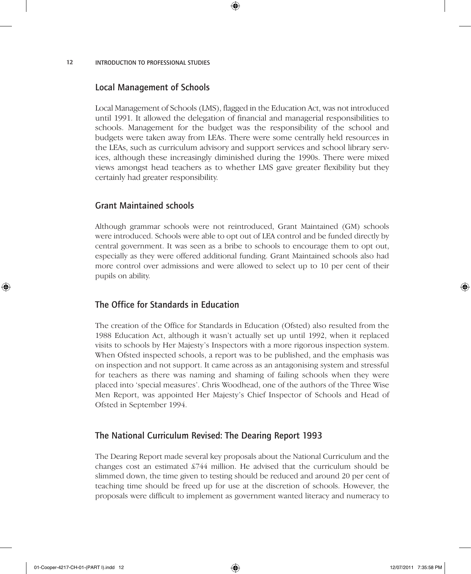#### Local Management of Schools

Local Management of Schools (LMS), flagged in the Education Act, was not introduced until 1991. It allowed the delegation of financial and managerial responsibilities to schools. Management for the budget was the responsibility of the school and budgets were taken away from LEAs. There were some centrally held resources in the LEAs, such as curriculum advisory and support services and school library services, although these increasingly diminished during the 1990s. There were mixed views amongst head teachers as to whether LMS gave greater flexibility but they certainly had greater responsibility.

⊕

#### Grant Maintained schools

Although grammar schools were not reintroduced, Grant Maintained (GM) schools were introduced. Schools were able to opt out of LEA control and be funded directly by central government. It was seen as a bribe to schools to encourage them to opt out, especially as they were offered additional funding. Grant Maintained schools also had more control over admissions and were allowed to select up to 10 per cent of their pupils on ability.

#### The Office for Standards in Education

The creation of the Office for Standards in Education (Ofsted) also resulted from the 1988 Education Act, although it wasn't actually set up until 1992, when it replaced visits to schools by Her Majesty's Inspectors with a more rigorous inspection system. When Ofsted inspected schools, a report was to be published, and the emphasis was on inspection and not support. It came across as an antagonising system and stressful for teachers as there was naming and shaming of failing schools when they were placed into 'special measures'. Chris Woodhead, one of the authors of the Three Wise Men Report, was appointed Her Majesty's Chief Inspector of Schools and Head of Ofsted in September 1994.

#### The National Curriculum Revised: The Dearing Report 1993

The Dearing Report made several key proposals about the National Curriculum and the changes cost an estimated £744 million. He advised that the curriculum should be slimmed down, the time given to testing should be reduced and around 20 per cent of teaching time should be freed up for use at the discretion of schools. However, the proposals were difficult to implement as government wanted literacy and numeracy to

⊕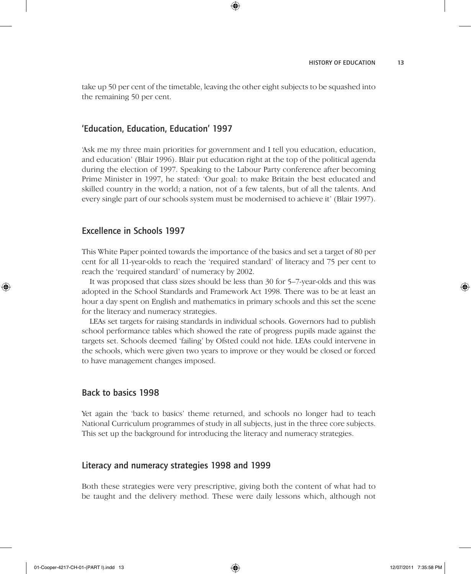take up 50 per cent of the timetable, leaving the other eight subjects to be squashed into the remaining 50 per cent.

⊕

#### 'Education, Education, Education' 1997

'Ask me my three main priorities for government and I tell you education, education, and education' (Blair 1996). Blair put education right at the top of the political agenda during the election of 1997. Speaking to the Labour Party conference after becoming Prime Minister in 1997, he stated: 'Our goal: to make Britain the best educated and skilled country in the world; a nation, not of a few talents, but of all the talents. And every single part of our schools system must be modernised to achieve it' (Blair 1997).

#### Excellence in Schools 1997

This White Paper pointed towards the importance of the basics and set a target of 80 per cent for all 11-year-olds to reach the 'required standard' of literacy and 75 per cent to reach the 'required standard' of numeracy by 2002.

It was proposed that class sizes should be less than 30 for 5–7-year-olds and this was adopted in the School Standards and Framework Act 1998. There was to be at least an hour a day spent on English and mathematics in primary schools and this set the scene for the literacy and numeracy strategies.

LEAs set targets for raising standards in individual schools. Governors had to publish school performance tables which showed the rate of progress pupils made against the targets set. Schools deemed 'failing' by Ofsted could not hide. LEAs could intervene in the schools, which were given two years to improve or they would be closed or forced to have management changes imposed.

#### Back to basics 1998

Yet again the 'back to basics' theme returned, and schools no longer had to teach National Curriculum programmes of study in all subjects, just in the three core subjects. This set up the background for introducing the literacy and numeracy strategies.

#### Literacy and numeracy strategies 1998 and 1999

Both these strategies were very prescriptive, giving both the content of what had to be taught and the delivery method. These were daily lessons which, although not

01-Cooper-4217-CH-01-(PART I).indd 13 12/07/2011 7:35:58 PM

♠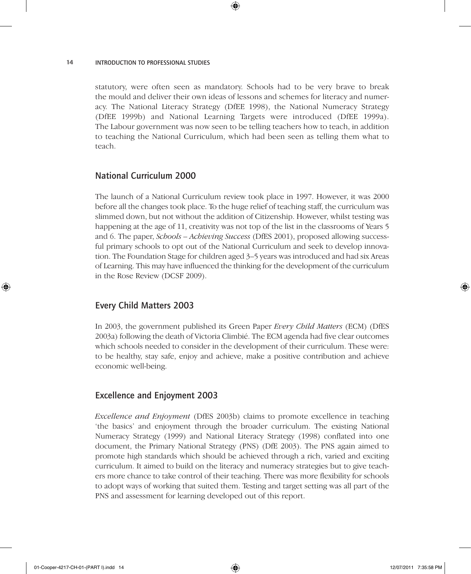statutory, were often seen as mandatory. Schools had to be very brave to break the mould and deliver their own ideas of lessons and schemes for literacy and numeracy. The National Literacy Strategy (DfEE 1998), the National Numeracy Strategy (DfEE 1999b) and National Learning Targets were introduced (DfEE 1999a). The Labour government was now seen to be telling teachers how to teach, in addition to teaching the National Curriculum, which had been seen as telling them what to teach.

⊕

#### National Curriculum 2000

The launch of a National Curriculum review took place in 1997. However, it was 2000 before all the changes took place. To the huge relief of teaching staff, the curriculum was slimmed down, but not without the addition of Citizenship. However, whilst testing was happening at the age of 11, creativity was not top of the list in the classrooms of Years 5 and 6. The paper, *Schools – Achieving Success* (DfES 2001), proposed allowing successful primary schools to opt out of the National Curriculum and seek to develop innovation. The Foundation Stage for children aged 3–5 years was introduced and had six Areas of Learning. This may have influenced the thinking for the development of the curriculum in the Rose Review (DCSF 2009).

#### Every Child Matters 2003

In 2003, the government published its Green Paper *Every Child Matters* (ECM) (DfES 2003a) following the death of Victoria Climbié. The ECM agenda had five clear outcomes which schools needed to consider in the development of their curriculum. These were: to be healthy, stay safe, enjoy and achieve, make a positive contribution and achieve economic well-being.

#### Excellence and Enjoyment 2003

*Excellence and Enjoyment* (DfES 2003b) claims to promote excellence in teaching 'the basics' and enjoyment through the broader curriculum. The existing National Numeracy Strategy (1999) and National Literacy Strategy (1998) conflated into one document, the Primary National Strategy (PNS) (DfE 2003). The PNS again aimed to promote high standards which should be achieved through a rich, varied and exciting curriculum. It aimed to build on the literacy and numeracy strategies but to give teachers more chance to take control of their teaching. There was more flexibility for schools to adopt ways of working that suited them. Testing and target setting was all part of the PNS and assessment for learning developed out of this report.

♠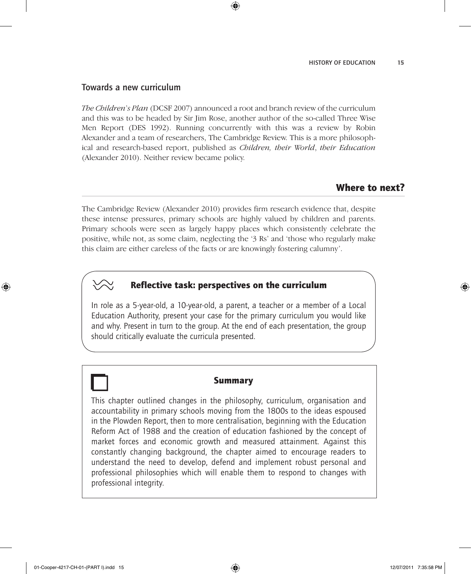## Towards a new curriculum

*The Children*'*s Plan* (DCSF 2007) announced a root and branch review of the curriculum and this was to be headed by Sir Jim Rose, another author of the so-called Three Wise Men Report (DES 1992). Running concurrently with this was a review by Robin Alexander and a team of researchers, The Cambridge Review. This is a more philosophical and research-based report, published as *Children, their World*, *their Education* (Alexander 2010). Neither review became policy.

⊕

## Where to next?

The Cambridge Review (Alexander 2010) provides firm research evidence that, despite these intense pressures, primary schools are highly valued by children and parents. Primary schools were seen as largely happy places which consistently celebrate the positive, while not, as some claim, neglecting the '3 Rs' and 'those who regularly make this claim are either careless of the facts or are knowingly fostering calumny'.

## Reflective task: perspectives on the curriculum

In role as a 5-year-old, a 10-year-old, a parent, a teacher or a member of a Local Education Authority, present your case for the primary curriculum you would like and why. Present in turn to the group. At the end of each presentation, the group should critically evaluate the curricula presented.

#### Summary

This chapter outlined changes in the philosophy, curriculum, organisation and accountability in primary schools moving from the 1800s to the ideas espoused in the Plowden Report, then to more centralisation, beginning with the Education Reform Act of 1988 and the creation of education fashioned by the concept of market forces and economic growth and measured attainment. Against this constantly changing background, the chapter aimed to encourage readers to understand the need to develop, defend and implement robust personal and professional philosophies which will enable them to respond to changes with professional integrity.

♠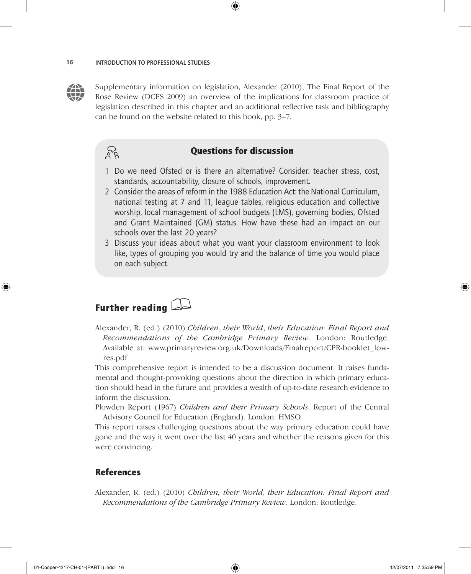$\mathcal{S}^{\mathcal{S}}_{\alpha}$ 



♠

Supplementary information on legislation, Alexander (2010), The Final Report of the Rose Review (DCFS 2009) an overview of the implications for classroom practice of legislation described in this chapter and an additional reflective task and bibliography can be found on the website related to this book, pp. 3–7.

⊕

#### Questions for discussion

- 1 Do we need Ofsted or is there an alternative? Consider: teacher stress, cost, standards, accountability, closure of schools, improvement.
- 2 Consider the areas of reform in the 1988 Education Act: the National Curriculum, national testing at 7 and 11, league tables, religious education and collective worship, local management of school budgets (LMS), governing bodies, Ofsted and Grant Maintained (GM) status. How have these had an impact on our schools over the last 20 years?
- 3 Discuss your ideas about what you want your classroom environment to look like, types of grouping you would try and the balance of time you would place on each subject.

# Further reading

Alexander, R. (ed.) (2010) *Children*, *their World*, *their Education: Final Report and Recommendations of the Cambridge Primary Review*. London: Routledge. Available at: www.primaryreview.org.uk/Downloads/Finalreport/CPR-booklet\_lowres.pdf

This comprehensive report is intended to be a discussion document. It raises fundamental and thought-provoking questions about the direction in which primary education should head in the future and provides a wealth of up-to-date research evidence to inform the discussion.

Plowden Report (1967) *Children and their Primary Schools*. Report of the Central Advisory Council for Education (England). London: HMSO.

This report raises challenging questions about the way primary education could have gone and the way it went over the last 40 years and whether the reasons given for this were convincing.

#### References

Alexander, R. (ed.) (2010) *Children, their World, their Education: Final Report and Recommendations of the Cambridge Primary Review*. London: Routledge.

01-Cooper-4217-CH-01-(PART I).indd 16 12/07/2011 7:35:59 PM